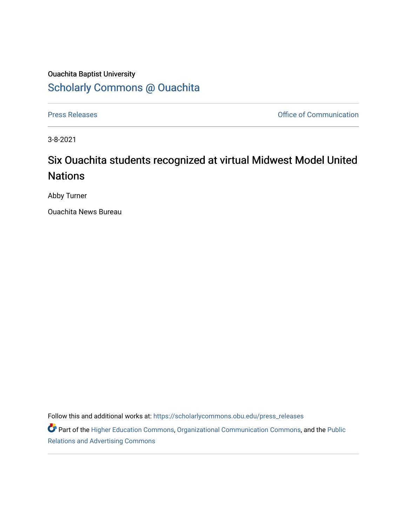## Ouachita Baptist University [Scholarly Commons @ Ouachita](https://scholarlycommons.obu.edu/)

[Press Releases](https://scholarlycommons.obu.edu/press_releases) **Press Releases Communication** 

3-8-2021

## Six Ouachita students recognized at virtual Midwest Model United **Nations**

Abby Turner

Ouachita News Bureau

Follow this and additional works at: [https://scholarlycommons.obu.edu/press\\_releases](https://scholarlycommons.obu.edu/press_releases?utm_source=scholarlycommons.obu.edu%2Fpress_releases%2F759&utm_medium=PDF&utm_campaign=PDFCoverPages)

Part of the [Higher Education Commons,](http://network.bepress.com/hgg/discipline/1245?utm_source=scholarlycommons.obu.edu%2Fpress_releases%2F759&utm_medium=PDF&utm_campaign=PDFCoverPages) [Organizational Communication Commons,](http://network.bepress.com/hgg/discipline/335?utm_source=scholarlycommons.obu.edu%2Fpress_releases%2F759&utm_medium=PDF&utm_campaign=PDFCoverPages) and the [Public](http://network.bepress.com/hgg/discipline/336?utm_source=scholarlycommons.obu.edu%2Fpress_releases%2F759&utm_medium=PDF&utm_campaign=PDFCoverPages) [Relations and Advertising Commons](http://network.bepress.com/hgg/discipline/336?utm_source=scholarlycommons.obu.edu%2Fpress_releases%2F759&utm_medium=PDF&utm_campaign=PDFCoverPages)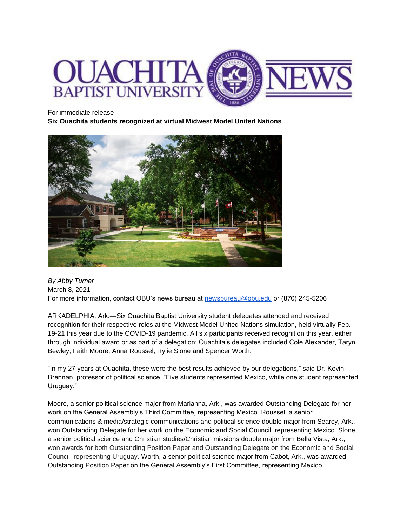

For immediate release

**Six Ouachita students recognized at virtual Midwest Model United Nations**



*By Abby Turner* March 8, 2021 For more information, contact OBU's news bureau at [newsbureau@obu.edu](mailto:newsbureau@obu.edu) or (870) 245-5206

ARKADELPHIA, Ark.—Six Ouachita Baptist University student delegates attended and received recognition for their respective roles at the Midwest Model United Nations simulation, held virtually Feb. 19-21 this year due to the COVID-19 pandemic. All six participants received recognition this year, either through individual award or as part of a delegation; Ouachita's delegates included Cole Alexander, Taryn Bewley, Faith Moore, Anna Roussel, Rylie Slone and Spencer Worth.

"In my 27 years at Ouachita, these were the best results achieved by our delegations," said Dr. Kevin Brennan, professor of political science. "Five students represented Mexico, while one student represented Uruguay."

Moore, a senior political science major from Marianna, Ark., was awarded Outstanding Delegate for her work on the General Assembly's Third Committee, representing Mexico. Roussel, a senior communications & media/strategic communications and political science double major from Searcy, Ark., won Outstanding Delegate for her work on the Economic and Social Council, representing Mexico. Slone, a senior political science and Christian studies/Christian missions double major from Bella Vista, Ark., won awards for both Outstanding Position Paper and Outstanding Delegate on the Economic and Social Council, representing Uruguay. Worth, a senior political science major from Cabot, Ark., was awarded Outstanding Position Paper on the General Assembly's First Committee, representing Mexico.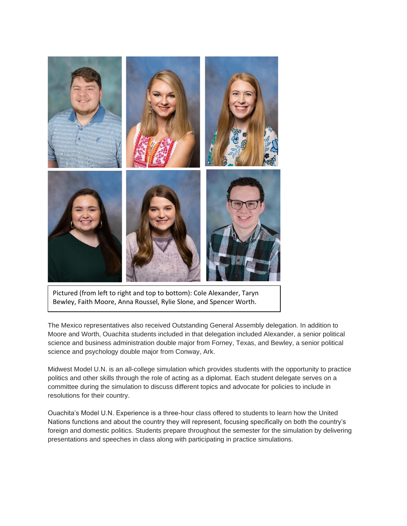

Pictured (from left to right and top to bottom): Cole Alexander, Taryn Bewley, Faith Moore, Anna Roussel, Rylie Slone, and Spencer Worth.

The Mexico representatives also received Outstanding General Assembly delegation. In addition to Moore and Worth, Ouachita students included in that delegation included Alexander, a senior political science and business administration double major from Forney, Texas, and Bewley, a senior political science and psychology double major from Conway, Ark.

Midwest Model U.N. is an all-college simulation which provides students with the opportunity to practice politics and other skills through the role of acting as a diplomat. Each student delegate serves on a committee during the simulation to discuss different topics and advocate for policies to include in resolutions for their country.

Ouachita's Model U.N. Experience is a three-hour class offered to students to learn how the United Nations functions and about the country they will represent, focusing specifically on both the country's foreign and domestic politics. Students prepare throughout the semester for the simulation by delivering presentations and speeches in class along with participating in practice simulations.